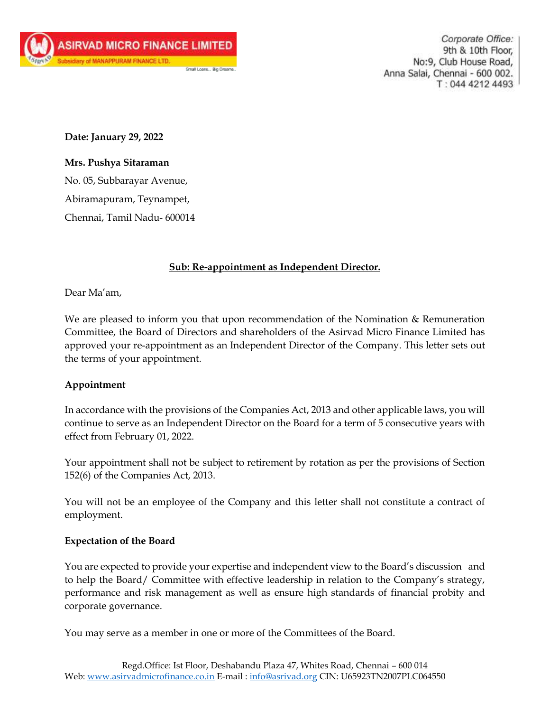Corporate Office: 9th & 10th Floor, No:9, Club House Road, Anna Salai, Chennai - 600 002. T: 044 4212 4493

**Date: January 29, 2022**

# **Mrs. Pushya Sitaraman**

No. 05, Subbarayar Avenue, Abiramapuram, Teynampet, Chennai, Tamil Nadu- 600014

# **Sub: Re-appointment as Independent Director.**

Dear Ma'am,

We are pleased to inform you that upon recommendation of the Nomination & Remuneration Committee, the Board of Directors and shareholders of the Asirvad Micro Finance Limited has approved your re-appointment as an Independent Director of the Company. This letter sets out the terms of your appointment.

# **Appointment**

In accordance with the provisions of the Companies Act, 2013 and other applicable laws, you will continue to serve as an Independent Director on the Board for a term of 5 consecutive years with effect from February 01, 2022.

Your appointment shall not be subject to retirement by rotation as per the provisions of Section 152(6) of the Companies Act, 2013.

You will not be an employee of the Company and this letter shall not constitute a contract of employment.

## **Expectation of the Board**

You are expected to provide your expertise and independent view to the Board's discussion and to help the Board/ Committee with effective leadership in relation to the Company's strategy, performance and risk management as well as ensure high standards of financial probity and corporate governance.

You may serve as a member in one or more of the Committees of the Board.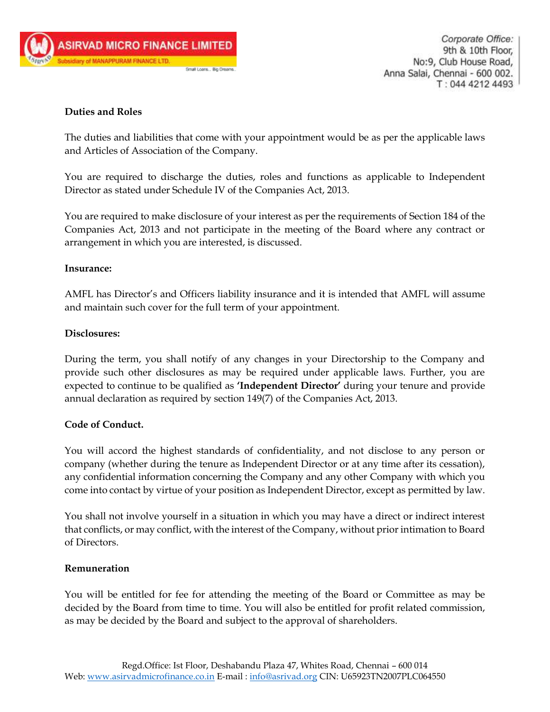

Corporate Office: 9th & 10th Floor, No:9, Club House Road, Anna Salai, Chennai - 600 002. T: 044 4212 4493

## **Duties and Roles**

The duties and liabilities that come with your appointment would be as per the applicable laws and Articles of Association of the Company.

You are required to discharge the duties, roles and functions as applicable to Independent Director as stated under Schedule IV of the Companies Act, 2013.

You are required to make disclosure of your interest as per the requirements of Section 184 of the Companies Act, 2013 and not participate in the meeting of the Board where any contract or arrangement in which you are interested, is discussed.

#### **Insurance:**

AMFL has Director's and Officers liability insurance and it is intended that AMFL will assume and maintain such cover for the full term of your appointment.

#### **Disclosures:**

During the term, you shall notify of any changes in your Directorship to the Company and provide such other disclosures as may be required under applicable laws. Further, you are expected to continue to be qualified as **'Independent Director'** during your tenure and provide annual declaration as required by section 149(7) of the Companies Act, 2013.

## **Code of Conduct.**

You will accord the highest standards of confidentiality, and not disclose to any person or company (whether during the tenure as Independent Director or at any time after its cessation), any confidential information concerning the Company and any other Company with which you come into contact by virtue of your position as Independent Director, except as permitted by law.

You shall not involve yourself in a situation in which you may have a direct or indirect interest that conflicts, or may conflict, with the interest of the Company, without prior intimation to Board of Directors.

#### **Remuneration**

You will be entitled for fee for attending the meeting of the Board or Committee as may be decided by the Board from time to time. You will also be entitled for profit related commission, as may be decided by the Board and subject to the approval of shareholders.